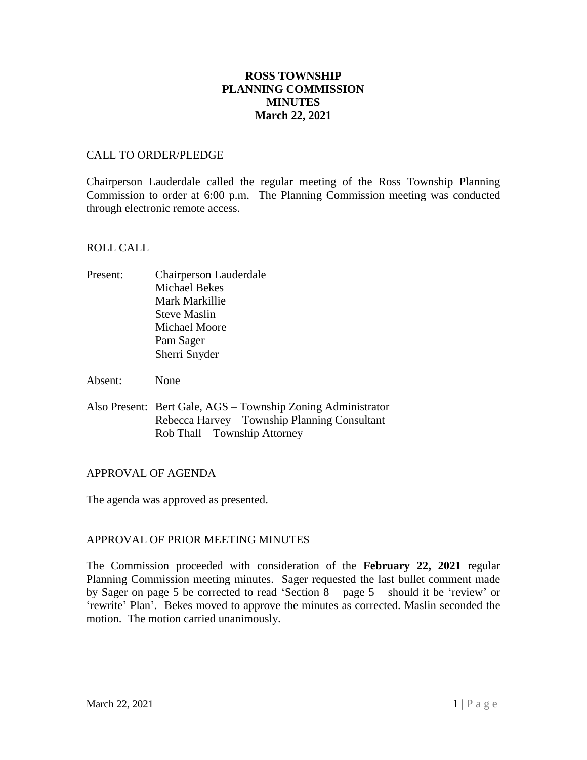# **ROSS TOWNSHIP PLANNING COMMISSION MINUTES March 22, 2021**

### CALL TO ORDER/PLEDGE

Chairperson Lauderdale called the regular meeting of the Ross Township Planning Commission to order at 6:00 p.m. The Planning Commission meeting was conducted through electronic remote access.

### ROLL CALL

- Present: Chairperson Lauderdale Michael Bekes Mark Markillie Steve Maslin Michael Moore Pam Sager Sherri Snyder
- Absent: None
- Also Present: Bert Gale, AGS Township Zoning Administrator Rebecca Harvey – Township Planning Consultant Rob Thall – Township Attorney

# APPROVAL OF AGENDA

The agenda was approved as presented.

# APPROVAL OF PRIOR MEETING MINUTES

The Commission proceeded with consideration of the **February 22, 2021** regular Planning Commission meeting minutes. Sager requested the last bullet comment made by Sager on page 5 be corrected to read 'Section 8 – page 5 – should it be 'review' or 'rewrite' Plan'. Bekes moved to approve the minutes as corrected. Maslin seconded the motion. The motion carried unanimously.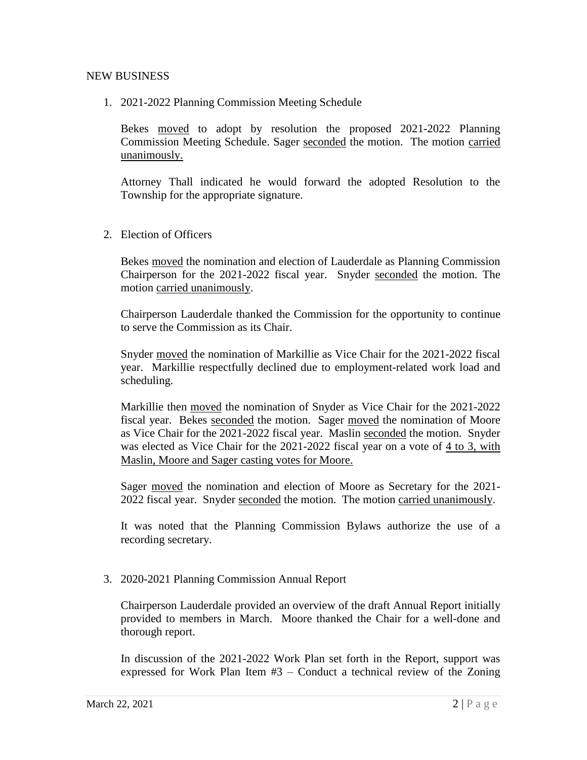### NEW BUSINESS

1. 2021-2022 Planning Commission Meeting Schedule

Bekes moved to adopt by resolution the proposed 2021-2022 Planning Commission Meeting Schedule. Sager seconded the motion. The motion carried unanimously.

Attorney Thall indicated he would forward the adopted Resolution to the Township for the appropriate signature.

2. Election of Officers

Bekes moved the nomination and election of Lauderdale as Planning Commission Chairperson for the 2021-2022 fiscal year. Snyder seconded the motion. The motion carried unanimously.

Chairperson Lauderdale thanked the Commission for the opportunity to continue to serve the Commission as its Chair.

Snyder moved the nomination of Markillie as Vice Chair for the 2021-2022 fiscal year. Markillie respectfully declined due to employment-related work load and scheduling.

Markillie then moved the nomination of Snyder as Vice Chair for the 2021-2022 fiscal year. Bekes seconded the motion. Sager moved the nomination of Moore as Vice Chair for the 2021-2022 fiscal year. Maslin seconded the motion. Snyder was elected as Vice Chair for the 2021-2022 fiscal year on a vote of 4 to 3, with Maslin, Moore and Sager casting votes for Moore.

Sager moved the nomination and election of Moore as Secretary for the 2021- 2022 fiscal year. Snyder seconded the motion. The motion carried unanimously.

It was noted that the Planning Commission Bylaws authorize the use of a recording secretary.

#### 3. 2020-2021 Planning Commission Annual Report

Chairperson Lauderdale provided an overview of the draft Annual Report initially provided to members in March. Moore thanked the Chair for a well-done and thorough report.

In discussion of the 2021-2022 Work Plan set forth in the Report, support was expressed for Work Plan Item #3 – Conduct a technical review of the Zoning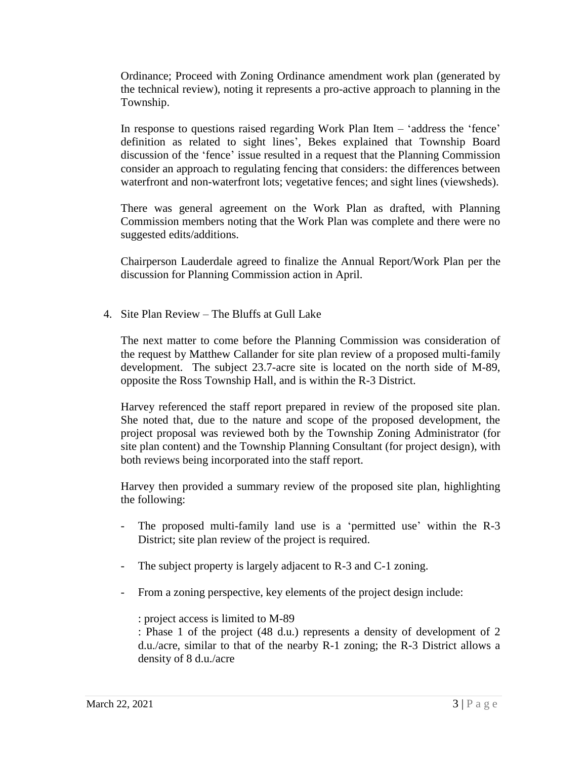Ordinance; Proceed with Zoning Ordinance amendment work plan (generated by the technical review), noting it represents a pro-active approach to planning in the Township.

In response to questions raised regarding Work Plan Item – 'address the 'fence' definition as related to sight lines', Bekes explained that Township Board discussion of the 'fence' issue resulted in a request that the Planning Commission consider an approach to regulating fencing that considers: the differences between waterfront and non-waterfront lots; vegetative fences; and sight lines (viewsheds).

There was general agreement on the Work Plan as drafted, with Planning Commission members noting that the Work Plan was complete and there were no suggested edits/additions.

Chairperson Lauderdale agreed to finalize the Annual Report/Work Plan per the discussion for Planning Commission action in April.

4. Site Plan Review – The Bluffs at Gull Lake

The next matter to come before the Planning Commission was consideration of the request by Matthew Callander for site plan review of a proposed multi-family development. The subject 23.7-acre site is located on the north side of M-89, opposite the Ross Township Hall, and is within the R-3 District.

Harvey referenced the staff report prepared in review of the proposed site plan. She noted that, due to the nature and scope of the proposed development, the project proposal was reviewed both by the Township Zoning Administrator (for site plan content) and the Township Planning Consultant (for project design), with both reviews being incorporated into the staff report.

Harvey then provided a summary review of the proposed site plan, highlighting the following:

- The proposed multi-family land use is a 'permitted use' within the R-3 District; site plan review of the project is required.
- The subject property is largely adjacent to R-3 and C-1 zoning.
- From a zoning perspective, key elements of the project design include:

: project access is limited to M-89

: Phase 1 of the project (48 d.u.) represents a density of development of 2 d.u./acre, similar to that of the nearby R-1 zoning; the R-3 District allows a density of 8 d.u./acre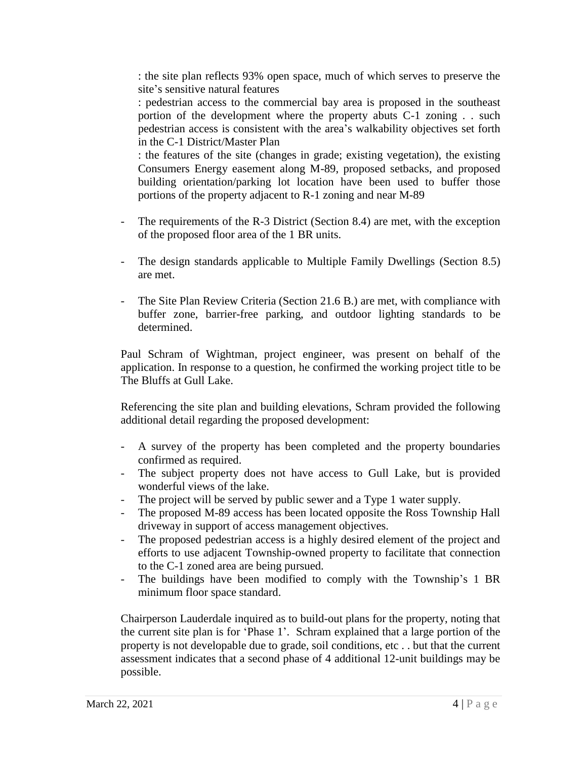: the site plan reflects 93% open space, much of which serves to preserve the site's sensitive natural features

: pedestrian access to the commercial bay area is proposed in the southeast portion of the development where the property abuts C-1 zoning . . such pedestrian access is consistent with the area's walkability objectives set forth in the C-1 District/Master Plan

: the features of the site (changes in grade; existing vegetation), the existing Consumers Energy easement along M-89, proposed setbacks, and proposed building orientation/parking lot location have been used to buffer those portions of the property adjacent to R-1 zoning and near M-89

- The requirements of the R-3 District (Section 8.4) are met, with the exception of the proposed floor area of the 1 BR units.
- The design standards applicable to Multiple Family Dwellings (Section 8.5) are met.
- The Site Plan Review Criteria (Section 21.6 B.) are met, with compliance with buffer zone, barrier-free parking, and outdoor lighting standards to be determined.

Paul Schram of Wightman, project engineer, was present on behalf of the application. In response to a question, he confirmed the working project title to be The Bluffs at Gull Lake.

Referencing the site plan and building elevations, Schram provided the following additional detail regarding the proposed development:

- A survey of the property has been completed and the property boundaries confirmed as required.
- The subject property does not have access to Gull Lake, but is provided wonderful views of the lake.
- The project will be served by public sewer and a Type 1 water supply.
- The proposed M-89 access has been located opposite the Ross Township Hall driveway in support of access management objectives.
- The proposed pedestrian access is a highly desired element of the project and efforts to use adjacent Township-owned property to facilitate that connection to the C-1 zoned area are being pursued.
- The buildings have been modified to comply with the Township's 1 BR minimum floor space standard.

Chairperson Lauderdale inquired as to build-out plans for the property, noting that the current site plan is for 'Phase 1'. Schram explained that a large portion of the property is not developable due to grade, soil conditions, etc . . but that the current assessment indicates that a second phase of 4 additional 12-unit buildings may be possible.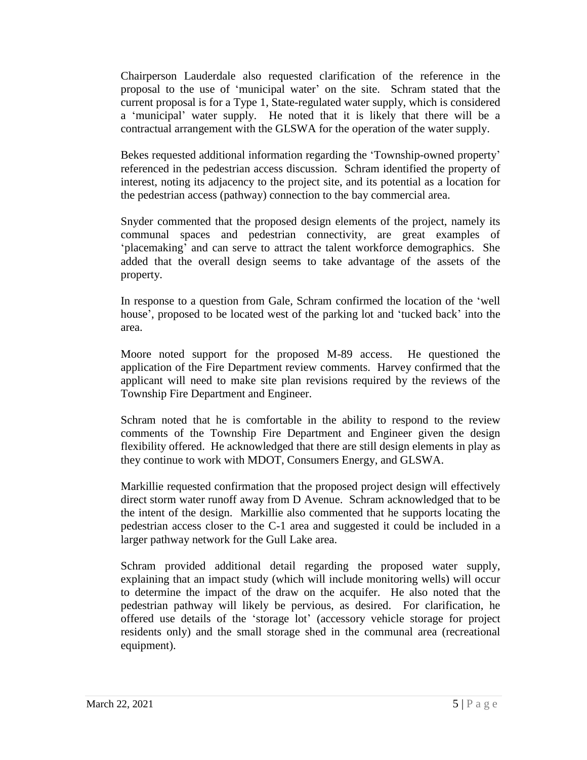Chairperson Lauderdale also requested clarification of the reference in the proposal to the use of 'municipal water' on the site. Schram stated that the current proposal is for a Type 1, State-regulated water supply, which is considered a 'municipal' water supply. He noted that it is likely that there will be a contractual arrangement with the GLSWA for the operation of the water supply.

Bekes requested additional information regarding the 'Township-owned property' referenced in the pedestrian access discussion. Schram identified the property of interest, noting its adjacency to the project site, and its potential as a location for the pedestrian access (pathway) connection to the bay commercial area.

Snyder commented that the proposed design elements of the project, namely its communal spaces and pedestrian connectivity, are great examples of 'placemaking' and can serve to attract the talent workforce demographics. She added that the overall design seems to take advantage of the assets of the property.

In response to a question from Gale, Schram confirmed the location of the 'well house', proposed to be located west of the parking lot and 'tucked back' into the area.

Moore noted support for the proposed M-89 access. He questioned the application of the Fire Department review comments. Harvey confirmed that the applicant will need to make site plan revisions required by the reviews of the Township Fire Department and Engineer.

Schram noted that he is comfortable in the ability to respond to the review comments of the Township Fire Department and Engineer given the design flexibility offered. He acknowledged that there are still design elements in play as they continue to work with MDOT, Consumers Energy, and GLSWA.

Markillie requested confirmation that the proposed project design will effectively direct storm water runoff away from D Avenue. Schram acknowledged that to be the intent of the design. Markillie also commented that he supports locating the pedestrian access closer to the C-1 area and suggested it could be included in a larger pathway network for the Gull Lake area.

Schram provided additional detail regarding the proposed water supply, explaining that an impact study (which will include monitoring wells) will occur to determine the impact of the draw on the acquifer. He also noted that the pedestrian pathway will likely be pervious, as desired. For clarification, he offered use details of the 'storage lot' (accessory vehicle storage for project residents only) and the small storage shed in the communal area (recreational equipment).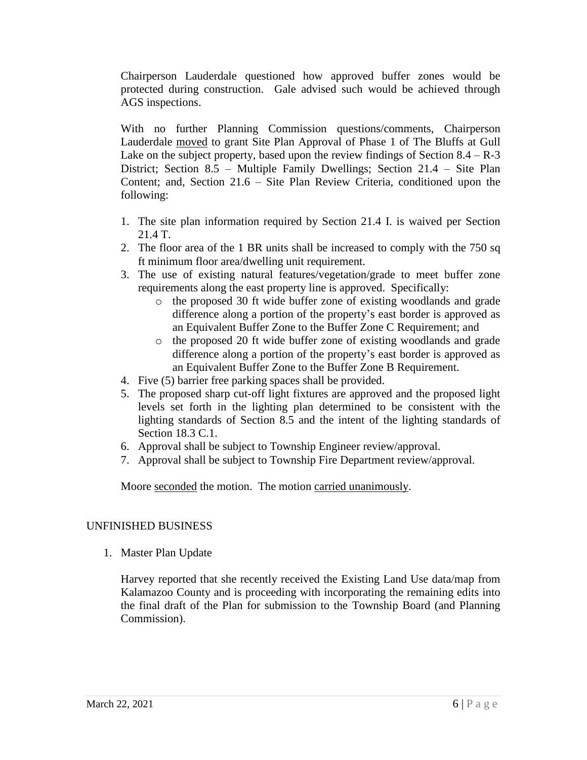Chairperson Lauderdale questioned how approved buffer zones would be protected during construction. Gale advised such would be achieved through AGS inspections.

With no further Planning Commission questions/comments, Chairperson Lauderdale moved to grant Site Plan Approval of Phase 1 of The Bluffs at Gull Lake on the subject property, based upon the review findings of Section  $8.4 - R - 3$ District; Section 8.5 – Multiple Family Dwellings; Section 21.4 – Site Plan Content; and, Section 21.6 – Site Plan Review Criteria, conditioned upon the following:

- 1. The site plan information required by Section 21.4 I. is waived per Section 21.4 T.
- 2. The floor area of the 1 BR units shall be increased to comply with the 750 sq ft minimum floor area/dwelling unit requirement.
- 3. The use of existing natural features/vegetation/grade to meet buffer zone requirements along the east property line is approved. Specifically:
	- o the proposed 30 ft wide buffer zone of existing woodlands and grade difference along a portion of the property's east border is approved as an Equivalent Buffer Zone to the Buffer Zone C Requirement; and
	- o the proposed 20 ft wide buffer zone of existing woodlands and grade difference along a portion of the property's east border is approved as an Equivalent Buffer Zone to the Buffer Zone B Requirement.
- 4. Five (5) barrier free parking spaces shall be provided.
- 5. The proposed sharp cut-off light fixtures are approved and the proposed light levels set forth in the lighting plan determined to be consistent with the lighting standards of Section 8.5 and the intent of the lighting standards of Section 18.3 C.1.
- 6. Approval shall be subject to Township Engineer review/approval.
- 7. Approval shall be subject to Township Fire Department review/approval.

Moore seconded the motion. The motion carried unanimously.

# UNFINISHED BUSINESS

1. Master Plan Update

Harvey reported that she recently received the Existing Land Use data/map from Kalamazoo County and is proceeding with incorporating the remaining edits into the final draft of the Plan for submission to the Township Board (and Planning Commission).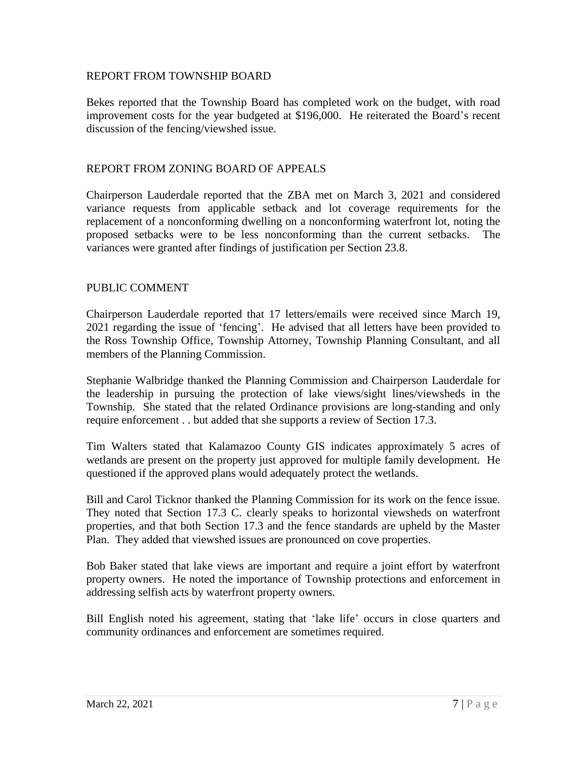### REPORT FROM TOWNSHIP BOARD

Bekes reported that the Township Board has completed work on the budget, with road improvement costs for the year budgeted at \$196,000. He reiterated the Board's recent discussion of the fencing/viewshed issue.

### REPORT FROM ZONING BOARD OF APPEALS

Chairperson Lauderdale reported that the ZBA met on March 3, 2021 and considered variance requests from applicable setback and lot coverage requirements for the replacement of a nonconforming dwelling on a nonconforming waterfront lot, noting the proposed setbacks were to be less nonconforming than the current setbacks. The variances were granted after findings of justification per Section 23.8.

### PUBLIC COMMENT

Chairperson Lauderdale reported that 17 letters/emails were received since March 19, 2021 regarding the issue of 'fencing'. He advised that all letters have been provided to the Ross Township Office, Township Attorney, Township Planning Consultant, and all members of the Planning Commission.

Stephanie Walbridge thanked the Planning Commission and Chairperson Lauderdale for the leadership in pursuing the protection of lake views/sight lines/viewsheds in the Township. She stated that the related Ordinance provisions are long-standing and only require enforcement . . but added that she supports a review of Section 17.3.

Tim Walters stated that Kalamazoo County GIS indicates approximately 5 acres of wetlands are present on the property just approved for multiple family development. He questioned if the approved plans would adequately protect the wetlands.

Bill and Carol Ticknor thanked the Planning Commission for its work on the fence issue. They noted that Section 17.3 C. clearly speaks to horizontal viewsheds on waterfront properties, and that both Section 17.3 and the fence standards are upheld by the Master Plan. They added that viewshed issues are pronounced on cove properties.

Bob Baker stated that lake views are important and require a joint effort by waterfront property owners. He noted the importance of Township protections and enforcement in addressing selfish acts by waterfront property owners.

Bill English noted his agreement, stating that 'lake life' occurs in close quarters and community ordinances and enforcement are sometimes required.